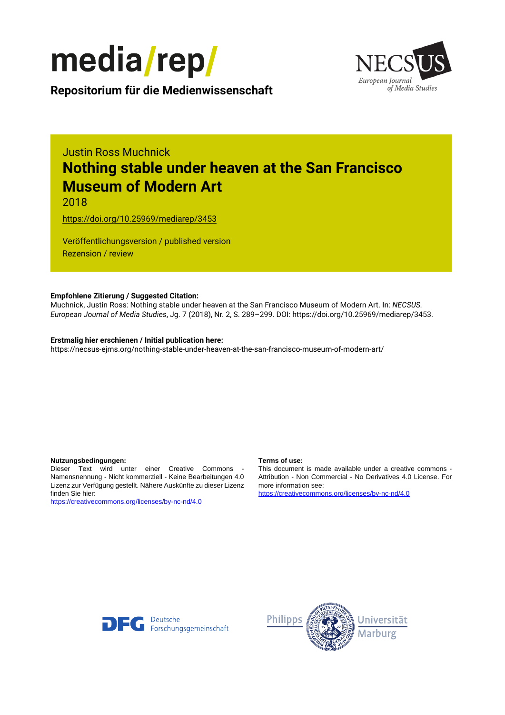



**Repositorium für die [Medienwissenschaft](https://mediarep.org)**

# Justin Ross Muchnick **Nothing stable under heaven at the San Francisco Museum of Modern Art**

2018

<https://doi.org/10.25969/mediarep/3453>

Veröffentlichungsversion / published version Rezension / review

### **Empfohlene Zitierung / Suggested Citation:**

Muchnick, Justin Ross: Nothing stable under heaven at the San Francisco Museum of Modern Art. In: *NECSUS. European Journal of Media Studies*, Jg. 7 (2018), Nr. 2, S. 289–299. DOI: https://doi.org/10.25969/mediarep/3453.

#### **Erstmalig hier erschienen / Initial publication here:**

https://necsus-ejms.org/nothing-stable-under-heaven-at-the-san-francisco-museum-of-modern-art/

#### **Nutzungsbedingungen: Terms of use:**

Dieser Text wird unter einer Creative Commons - Namensnennung - Nicht kommerziell - Keine Bearbeitungen 4.0 Lizenz zur Verfügung gestellt. Nähere Auskünfte zu dieser Lizenz finden Sie hier:

<https://creativecommons.org/licenses/by-nc-nd/4.0>

This document is made available under a creative commons - Attribution - Non Commercial - No Derivatives 4.0 License. For more information see:

<https://creativecommons.org/licenses/by-nc-nd/4.0>



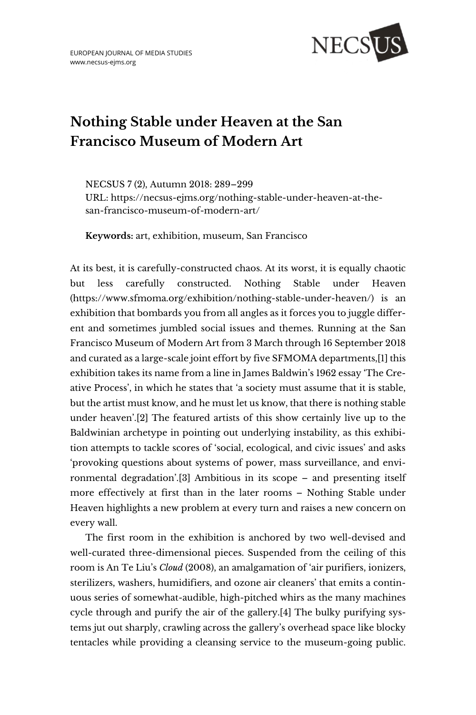

# **Nothing Stable under Heaven at the San Francisco Museum of Modern Art**

NECSUS 7 (2), Autumn 2018: 289–299 URL: [https://necsus-ejms.org/nothing-stable-under-heaven-at-the](https://necsus-ejms.org/nothing-stable-under-heaven-at-the-san-francisco-museum-of-modern-art/)[san-francisco-museum-of-modern-art/](https://necsus-ejms.org/nothing-stable-under-heaven-at-the-san-francisco-museum-of-modern-art/)

**Keywords:** [art,](https://necsus-ejms.org/tag/art/) [exhibition,](https://necsus-ejms.org/tag/exhibition/) [museum,](https://necsus-ejms.org/tag/museum/) [San Francisco](https://necsus-ejms.org/tag/san-francisco/)

At its best, it is carefully-constructed chaos. At its worst, it is equally chaotic but less carefully constructed. Nothing Stable under Heaven (https://www.sfmoma.org/exhibition/nothing-stable-under-heaven/) is an exhibition that bombards you from all angles as it forces you to juggle different and sometimes jumbled social issues and themes. Running at the San Francisco Museum of Modern Art from 3 March through 16 September 2018 and curated as a large-scale joint effort by five SFMOMA departments,[1] this exhibition takes its name from a line in James Baldwin's 1962 essay 'The Creative Process', in which he states that 'a society must assume that it is stable, but the artist must know, and he must let us know, that there is nothing stable under heaven'.[2] The featured artists of this show certainly live up to the Baldwinian archetype in pointing out underlying instability, as this exhibition attempts to tackle scores of 'social, ecological, and civic issues' and asks 'provoking questions about systems of power, mass surveillance, and environmental degradation'.[3] Ambitious in its scope – and presenting itself more effectively at first than in the later rooms – Nothing Stable under Heaven highlights a new problem at every turn and raises a new concern on every wall.

The first room in the exhibition is anchored by two well-devised and well-curated three-dimensional pieces. Suspended from the ceiling of this room is An Te Liu's *Cloud* (2008), an amalgamation of 'air purifiers, ionizers, sterilizers, washers, humidifiers, and ozone air cleaners' that emits a continuous series of somewhat-audible, high-pitched whirs as the many machines cycle through and purify the air of the gallery.[4] The bulky purifying systems jut out sharply, crawling across the gallery's overhead space like blocky tentacles while providing a cleansing service to the museum-going public.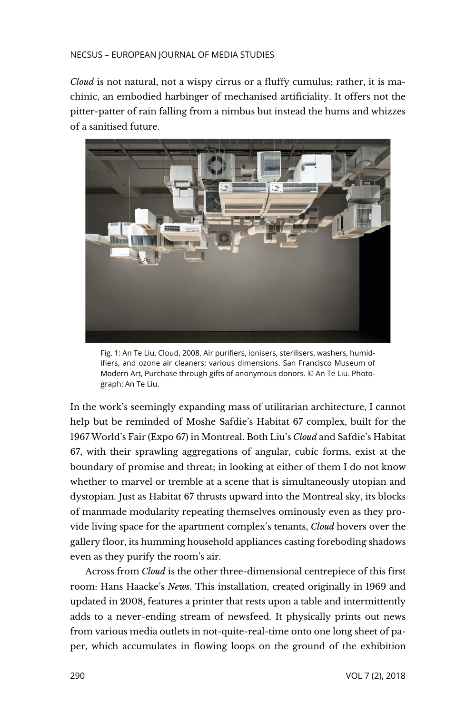#### NECSUS – EUROPEAN JOURNAL OF MEDIA STUDIES

*Cloud* is not natural, not a wispy cirrus or a fluffy cumulus; rather, it is machinic, an embodied harbinger of mechanised artificiality. It offers not the pitter-patter of rain falling from a nimbus but instead the hums and whizzes of a sanitised future.



Fig. 1: An Te Liu, Cloud, 2008. Air purifiers, ionisers, sterilisers, washers, humidifiers, and ozone air cleaners; various dimensions. San Francisco Museum of Modern Art, Purchase through gifts of anonymous donors. © An Te Liu. Photograph: An Te Liu.

In the work's seemingly expanding mass of utilitarian architecture, I cannot help but be reminded of Moshe Safdie's Habitat 67 complex, built for the 1967 World's Fair (Expo 67) in Montreal. Both Liu's *Cloud* and Safdie's Habitat 67, with their sprawling aggregations of angular, cubic forms, exist at the boundary of promise and threat; in looking at either of them I do not know whether to marvel or tremble at a scene that is simultaneously utopian and dystopian. Just as Habitat 67 thrusts upward into the Montreal sky, its blocks of manmade modularity repeating themselves ominously even as they provide living space for the apartment complex's tenants, *Cloud* hovers over the gallery floor, its humming household appliances casting foreboding shadows even as they purify the room's air.

Across from *Cloud* is the other three-dimensional centrepiece of this first room: Hans Haacke's *News*. This installation, created originally in 1969 and updated in 2008, features a printer that rests upon a table and intermittently adds to a never-ending stream of newsfeed. It physically prints out news from various media outlets in not-quite-real-time onto one long sheet of paper, which accumulates in flowing loops on the ground of the exhibition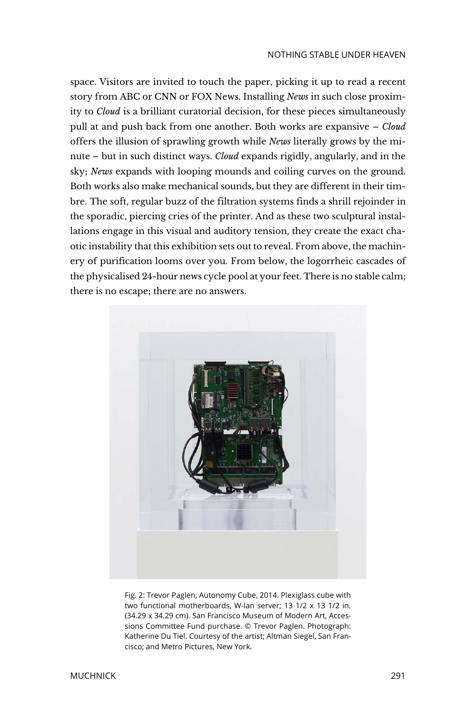space. Visitors are invited to touch the paper, picking it up to read a recent story from ABC or CNN or FOX News. Installing *News* in such close proximity to *Cloud* is a brilliant curatorial decision, for these pieces simultaneously pull at and push back from one another. Both works are expansive – *Cloud*  offers the illusion of sprawling growth while *News* literally grows by the minute – but in such distinct ways. *Cloud* expands rigidly, angularly, and in the sky; *News* expands with looping mounds and coiling curves on the ground. Both works also make mechanical sounds, but they are different in their timbre. The soft, regular buzz of the filtration systems finds a shrill rejoinder in the sporadic, piercing cries of the printer. And as these two sculptural installations engage in this visual and auditory tension, they create the exact chaotic instability that this exhibition sets out to reveal. From above, the machinery of purification looms over you. From below, the logorrheic cascades of the physicalised 24-hour news cycle pool at your feet. There is no stable calm; there is no escape; there are no answers.



Fig. 2: Trevor Paglen, Autonomy Cube, 2014. Plexiglass cube with two functional motherboards, W-lan server; 13 1/2 x 13 1/2 in. (34.29 x 34.29 cm). San Francisco Museum of Modern Art, Accessions Committee Fund purchase. © Trevor Paglen. Photograph: Katherine Du Tiel. Courtesy of the artist; Altman Siegel, San Francisco; and Metro Pictures, New York.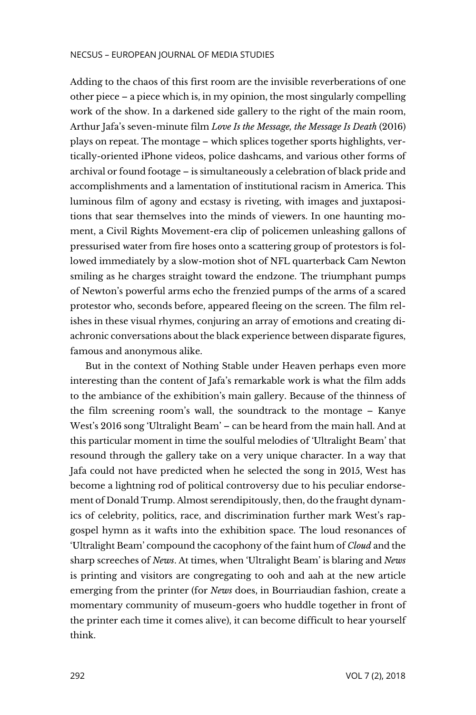#### NECSUS – EUROPEAN JOURNAL OF MEDIA STUDIES

Adding to the chaos of this first room are the invisible reverberations of one other piece – a piece which is, in my opinion, the most singularly compelling work of the show. In a darkened side gallery to the right of the main room, Arthur Jafa's seven-minute film *Love Is the Message, the Message Is Death* (2016) plays on repeat. The montage – which splices together sports highlights, vertically-oriented iPhone videos, police dashcams, and various other forms of archival or found footage – is simultaneously a celebration of black pride and accomplishments and a lamentation of institutional racism in America. This luminous film of agony and ecstasy is riveting, with images and juxtapositions that sear themselves into the minds of viewers. In one haunting moment, a Civil Rights Movement-era clip of policemen unleashing gallons of pressurised water from fire hoses onto a scattering group of protestors is followed immediately by a slow-motion shot of NFL quarterback Cam Newton smiling as he charges straight toward the endzone. The triumphant pumps of Newton's powerful arms echo the frenzied pumps of the arms of a scared protestor who, seconds before, appeared fleeing on the screen. The film relishes in these visual rhymes, conjuring an array of emotions and creating diachronic conversations about the black experience between disparate figures, famous and anonymous alike.

But in the context of Nothing Stable under Heaven perhaps even more interesting than the content of Jafa's remarkable work is what the film adds to the ambiance of the exhibition's main gallery. Because of the thinness of the film screening room's wall, the soundtrack to the montage – Kanye West's 2016 song 'Ultralight Beam' – can be heard from the main hall. And at this particular moment in time the soulful melodies of 'Ultralight Beam' that resound through the gallery take on a very unique character. In a way that Jafa could not have predicted when he selected the song in 2015, West has become a lightning rod of political controversy due to his peculiar endorsement of Donald Trump. Almost serendipitously, then, do the fraught dynamics of celebrity, politics, race, and discrimination further mark West's rapgospel hymn as it wafts into the exhibition space. The loud resonances of 'Ultralight Beam' compound the cacophony of the faint hum of *Cloud* and the sharp screeches of *News*. At times, when 'Ultralight Beam' is blaring and *News*  is printing and visitors are congregating to ooh and aah at the new article emerging from the printer (for *News* does, in Bourriaudian fashion, create a momentary community of museum-goers who huddle together in front of the printer each time it comes alive), it can become difficult to hear yourself think.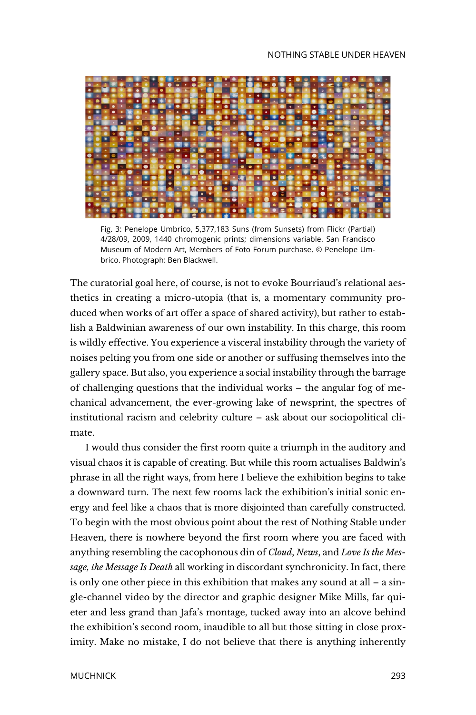

Fig. 3: Penelope Umbrico, 5,377,183 Suns (from Sunsets) from Flickr (Partial) 4/28/09, 2009, 1440 chromogenic prints; dimensions variable. San Francisco Museum of Modern Art, Members of Foto Forum purchase. © Penelope Umbrico. Photograph: Ben Blackwell.

The curatorial goal here, of course, is not to evoke Bourriaud's relational aesthetics in creating a micro-utopia (that is, a momentary community produced when works of art offer a space of shared activity), but rather to establish a Baldwinian awareness of our own instability. In this charge, this room is wildly effective. You experience a visceral instability through the variety of noises pelting you from one side or another or suffusing themselves into the gallery space. But also, you experience a social instability through the barrage of challenging questions that the individual works – the angular fog of mechanical advancement, the ever-growing lake of newsprint, the spectres of institutional racism and celebrity culture – ask about our sociopolitical climate.

I would thus consider the first room quite a triumph in the auditory and visual chaos it is capable of creating. But while this room actualises Baldwin's phrase in all the right ways, from here I believe the exhibition begins to take a downward turn. The next few rooms lack the exhibition's initial sonic energy and feel like a chaos that is more disjointed than carefully constructed. To begin with the most obvious point about the rest of Nothing Stable under Heaven, there is nowhere beyond the first room where you are faced with anything resembling the cacophonous din of *Cloud*, *News*, and *Love Is the Message, the Message Is Death* all working in discordant synchronicity. In fact, there is only one other piece in this exhibition that makes any sound at all – a single-channel video by the director and graphic designer Mike Mills, far quieter and less grand than Jafa's montage, tucked away into an alcove behind the exhibition's second room, inaudible to all but those sitting in close proximity. Make no mistake, I do not believe that there is anything inherently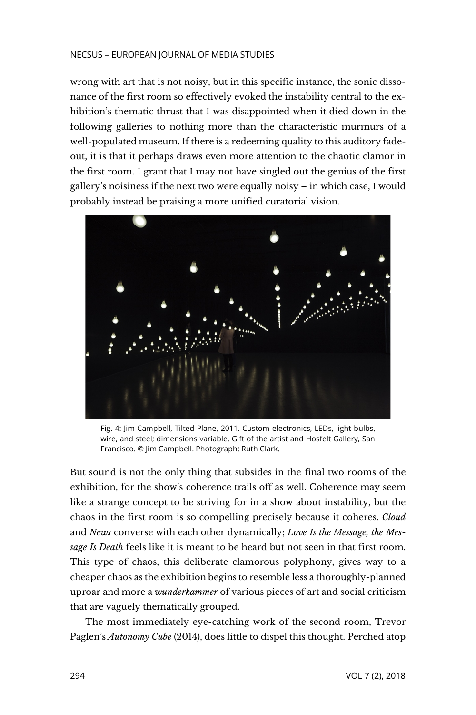#### NECSUS – EUROPEAN JOURNAL OF MEDIA STUDIES

wrong with art that is not noisy, but in this specific instance, the sonic dissonance of the first room so effectively evoked the instability central to the exhibition's thematic thrust that I was disappointed when it died down in the following galleries to nothing more than the characteristic murmurs of a well-populated museum. If there is a redeeming quality to this auditory fadeout, it is that it perhaps draws even more attention to the chaotic clamor in the first room. I grant that I may not have singled out the genius of the first gallery's noisiness if the next two were equally noisy – in which case, I would probably instead be praising a more unified curatorial vision.



Fig. 4: Jim Campbell, Tilted Plane, 2011. Custom electronics, LEDs, light bulbs, wire, and steel; dimensions variable. Gift of the artist and Hosfelt Gallery, San Francisco. © Jim Campbell. Photograph: Ruth Clark.

But sound is not the only thing that subsides in the final two rooms of the exhibition, for the show's coherence trails off as well. Coherence may seem like a strange concept to be striving for in a show about instability, but the chaos in the first room is so compelling precisely because it coheres. *Cloud*  and *News* converse with each other dynamically; *Love Is the Message, the Message Is Death* feels like it is meant to be heard but not seen in that first room. This type of chaos, this deliberate clamorous polyphony, gives way to a cheaper chaos as the exhibition begins to resemble less a thoroughly-planned uproar and more a *wunderkammer* of various pieces of art and social criticism that are vaguely thematically grouped.

The most immediately eye-catching work of the second room, Trevor Paglen's *Autonomy Cube* (2014), does little to dispel this thought. Perched atop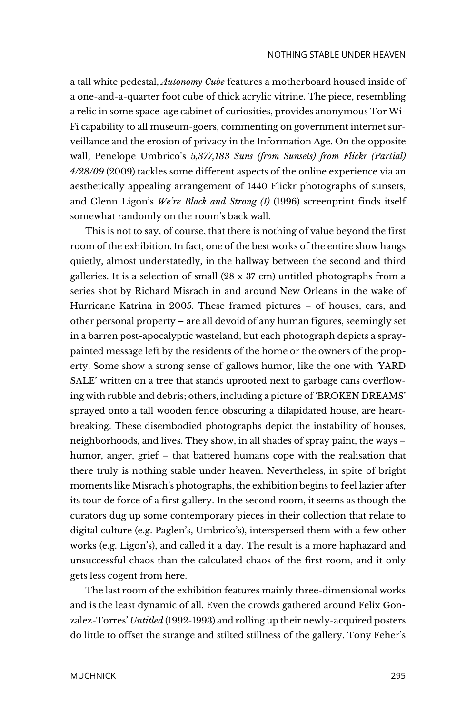a tall white pedestal, *Autonomy Cube* features a motherboard housed inside of a one-and-a-quarter foot cube of thick acrylic vitrine. The piece, resembling a relic in some space-age cabinet of curiosities, provides anonymous Tor Wi-Fi capability to all museum-goers, commenting on government internet surveillance and the erosion of privacy in the Information Age. On the opposite wall, Penelope Umbrico's *5,377,183 Suns (from Sunsets) from Flickr (Partial) 4/28/09* (2009) tackles some different aspects of the online experience via an aesthetically appealing arrangement of 1440 Flickr photographs of sunsets, and Glenn Ligon's *We're Black and Strong (I)* (1996) screenprint finds itself somewhat randomly on the room's back wall.

This is not to say, of course, that there is nothing of value beyond the first room of the exhibition. In fact, one of the best works of the entire show hangs quietly, almost understatedly, in the hallway between the second and third galleries. It is a selection of small (28 x 37 cm) untitled photographs from a series shot by Richard Misrach in and around New Orleans in the wake of Hurricane Katrina in 2005. These framed pictures – of houses, cars, and other personal property – are all devoid of any human figures, seemingly set in a barren post-apocalyptic wasteland, but each photograph depicts a spraypainted message left by the residents of the home or the owners of the property. Some show a strong sense of gallows humor, like the one with 'YARD SALE' written on a tree that stands uprooted next to garbage cans overflowing with rubble and debris; others, including a picture of 'BROKEN DREAMS' sprayed onto a tall wooden fence obscuring a dilapidated house, are heartbreaking. These disembodied photographs depict the instability of houses, neighborhoods, and lives. They show, in all shades of spray paint, the ways – humor, anger, grief – that battered humans cope with the realisation that there truly is nothing stable under heaven. Nevertheless, in spite of bright moments like Misrach's photographs, the exhibition begins to feel lazier after its tour de force of a first gallery. In the second room, it seems as though the curators dug up some contemporary pieces in their collection that relate to digital culture (e.g. Paglen's, Umbrico's), interspersed them with a few other works (e.g. Ligon's), and called it a day. The result is a more haphazard and unsuccessful chaos than the calculated chaos of the first room, and it only gets less cogent from here.

The last room of the exhibition features mainly three-dimensional works and is the least dynamic of all. Even the crowds gathered around Felix Gonzalez-Torres' *Untitled* (1992-1993) and rolling up their newly-acquired posters do little to offset the strange and stilted stillness of the gallery. Tony Feher's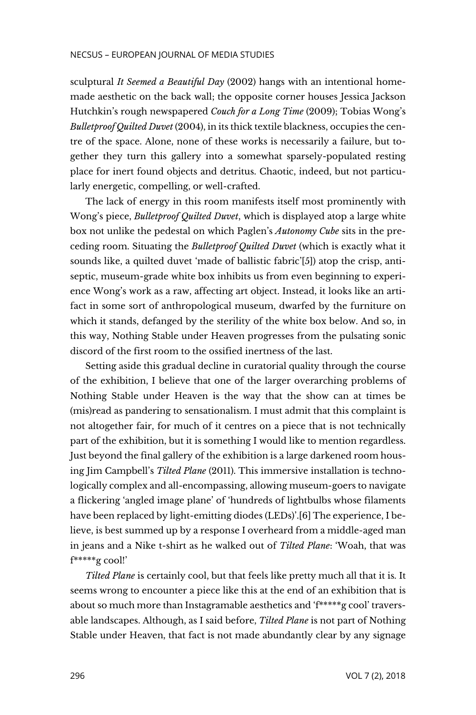sculptural *It Seemed a Beautiful Day* (2002) hangs with an intentional homemade aesthetic on the back wall; the opposite corner houses Jessica Jackson Hutchkin's rough newspapered *Couch for a Long Time* (2009); Tobias Wong's *Bulletproof Quilted Duvet* (2004), in its thick textile blackness, occupies the centre of the space. Alone, none of these works is necessarily a failure, but together they turn this gallery into a somewhat sparsely-populated resting place for inert found objects and detritus. Chaotic, indeed, but not particularly energetic, compelling, or well-crafted.

The lack of energy in this room manifests itself most prominently with Wong's piece, *Bulletproof Quilted Duvet*, which is displayed atop a large white box not unlike the pedestal on which Paglen's *Autonomy Cube* sits in the preceding room. Situating the *Bulletproof Quilted Duvet* (which is exactly what it sounds like, a quilted duvet 'made of ballistic fabric'[5]) atop the crisp, antiseptic, museum-grade white box inhibits us from even beginning to experience Wong's work as a raw, affecting art object. Instead, it looks like an artifact in some sort of anthropological museum, dwarfed by the furniture on which it stands, defanged by the sterility of the white box below. And so, in this way, Nothing Stable under Heaven progresses from the pulsating sonic discord of the first room to the ossified inertness of the last.

Setting aside this gradual decline in curatorial quality through the course of the exhibition, I believe that one of the larger overarching problems of Nothing Stable under Heaven is the way that the show can at times be (mis)read as pandering to sensationalism. I must admit that this complaint is not altogether fair, for much of it centres on a piece that is not technically part of the exhibition, but it is something I would like to mention regardless. Just beyond the final gallery of the exhibition is a large darkened room housing Jim Campbell's *Tilted Plane* (2011). This immersive installation is technologically complex and all-encompassing, allowing museum-goers to navigate a flickering 'angled image plane' of 'hundreds of lightbulbs whose filaments have been replaced by light-emitting diodes (LEDs)'.[6] The experience, I believe, is best summed up by a response I overheard from a middle-aged man in jeans and a Nike t-shirt as he walked out of *Tilted Plane*: 'Woah, that was f\*\*\*\*\*g cool!'

*Tilted Plane* is certainly cool, but that feels like pretty much all that it is. It seems wrong to encounter a piece like this at the end of an exhibition that is about so much more than Instagramable aesthetics and 'f\*\*\*\*\*g cool' traversable landscapes. Although, as I said before, *Tilted Plane* is not part of Nothing Stable under Heaven, that fact is not made abundantly clear by any signage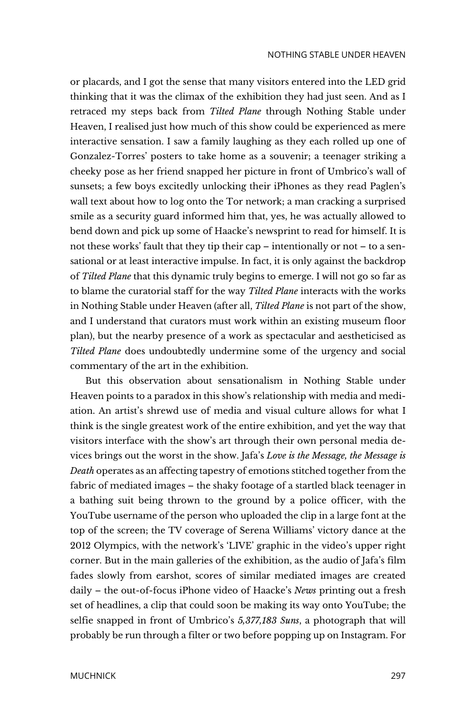or placards, and I got the sense that many visitors entered into the LED grid thinking that it was the climax of the exhibition they had just seen. And as I retraced my steps back from *Tilted Plane* through Nothing Stable under Heaven, I realised just how much of this show could be experienced as mere interactive sensation. I saw a family laughing as they each rolled up one of Gonzalez-Torres' posters to take home as a souvenir; a teenager striking a cheeky pose as her friend snapped her picture in front of Umbrico's wall of sunsets; a few boys excitedly unlocking their iPhones as they read Paglen's wall text about how to log onto the Tor network; a man cracking a surprised smile as a security guard informed him that, yes, he was actually allowed to bend down and pick up some of Haacke's newsprint to read for himself. It is not these works' fault that they tip their cap – intentionally or not – to a sensational or at least interactive impulse. In fact, it is only against the backdrop of *Tilted Plane* that this dynamic truly begins to emerge. I will not go so far as to blame the curatorial staff for the way *Tilted Plane* interacts with the works in Nothing Stable under Heaven (after all, *Tilted Plane* is not part of the show, and I understand that curators must work within an existing museum floor plan), but the nearby presence of a work as spectacular and aestheticised as *Tilted Plane* does undoubtedly undermine some of the urgency and social commentary of the art in the exhibition.

But this observation about sensationalism in Nothing Stable under Heaven points to a paradox in this show's relationship with media and mediation. An artist's shrewd use of media and visual culture allows for what I think is the single greatest work of the entire exhibition, and yet the way that visitors interface with the show's art through their own personal media devices brings out the worst in the show. Jafa's *Love is the Message, the Message is Death* operates as an affecting tapestry of emotions stitched together from the fabric of mediated images – the shaky footage of a startled black teenager in a bathing suit being thrown to the ground by a police officer, with the YouTube username of the person who uploaded the clip in a large font at the top of the screen; the TV coverage of Serena Williams' victory dance at the 2012 Olympics, with the network's 'LIVE' graphic in the video's upper right corner. But in the main galleries of the exhibition, as the audio of Jafa's film fades slowly from earshot, scores of similar mediated images are created daily – the out-of-focus iPhone video of Haacke's *News* printing out a fresh set of headlines, a clip that could soon be making its way onto YouTube; the selfie snapped in front of Umbrico's *5,377,183 Suns*, a photograph that will probably be run through a filter or two before popping up on Instagram. For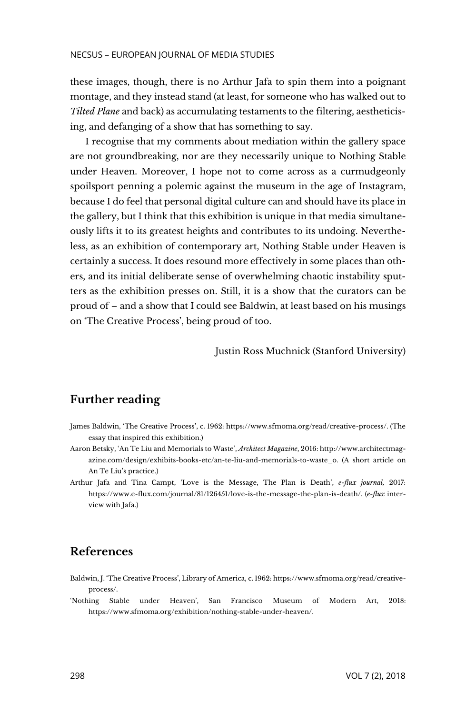these images, though, there is no Arthur Jafa to spin them into a poignant montage, and they instead stand (at least, for someone who has walked out to *Tilted Plane* and back) as accumulating testaments to the filtering, aestheticising, and defanging of a show that has something to say.

I recognise that my comments about mediation within the gallery space are not groundbreaking, nor are they necessarily unique to Nothing Stable under Heaven. Moreover, I hope not to come across as a curmudgeonly spoilsport penning a polemic against the museum in the age of Instagram, because I do feel that personal digital culture can and should have its place in the gallery, but I think that this exhibition is unique in that media simultaneously lifts it to its greatest heights and contributes to its undoing. Nevertheless, as an exhibition of contemporary art, Nothing Stable under Heaven is certainly a success. It does resound more effectively in some places than others, and its initial deliberate sense of overwhelming chaotic instability sputters as the exhibition presses on. Still, it is a show that the curators can be proud of – and a show that I could see Baldwin, at least based on his musings on 'The Creative Process', being proud of too.

Justin Ross Muchnick (Stanford University)

## **Further reading**

- James Baldwin, 'The Creative Process', c. 1962[: https://www.sfmoma.org/read/creative-process/.](https://www.sfmoma.org/read/creative-process/) (The essay that inspired this exhibition.)
- Aaron Betsky, 'An Te Liu and Memorials to Waste', *Architect Magazine*, 2016[: http://www.architectmag](http://www.architectmagazine.com/design/exhibits-books-etc/an-te-liu-and-memorials-to-waste_o)[azine.com/design/exhibits-books-etc/an-te-liu-and-memorials-to-waste\\_o.](http://www.architectmagazine.com/design/exhibits-books-etc/an-te-liu-and-memorials-to-waste_o) (A short article on An Te Liu's practice.)
- Arthur Jafa and Tina Campt, 'Love is the Message, The Plan is Death', *e-flux journal,* 2017: [https://www.e-flux.com/journal/81/126451/love-is-the-message-the-plan-is-death/.](https://www.e-flux.com/journal/81/126451/love-is-the-message-the-plan-is-death/) (*e-flux* interview with Jafa.)

## **References**

- Baldwin, J. 'The Creative Process', Library of America, c. 1962: https://www.sfmoma.org/read/creativeprocess/.
- 'Nothing Stable under Heaven', San Francisco Museum of Modern Art, 2018: [https://www.sfmoma.org/exhibition/nothing-stable-under-heaven/.](https://www.sfmoma.org/exhibition/nothing-stable-under-heaven/)